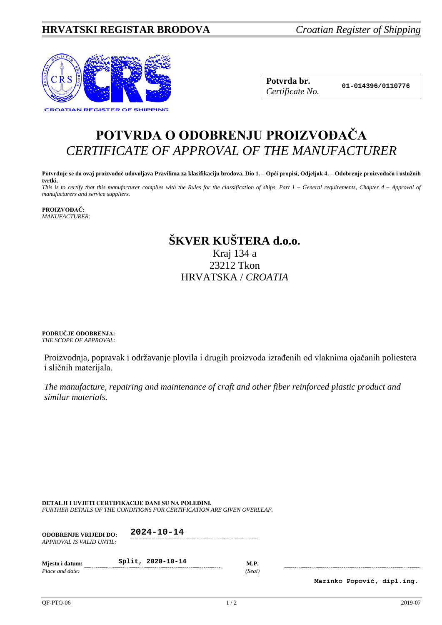## **HRVATSKI REGISTAR BRODOVA** *Croatian Register of Shipping*



**Potvrda br. 01-014396/0110776** *Certificate No.*

# **POTVRDA O ODOBRENJU PROIZVOĐAČA** *CERTIFICATE OF APPROVAL OF THE MANUFACTURER*

**Potvrđuje se da ovaj proizvođač udovoljava Pravilima za klasifikaciju brodova, Dio 1. – Opći propisi, Odjeljak 4. – Odobrenje proizvođača i uslužnih tvrtki.** *This is to certify that this manufacturer complies with the Rules for the classification of ships, Part 1 – General requirements, Chapter 4 – Approval of* 

*manufacturers and service suppliers.*

**PROIZVOĐAČ:** *MANUFACTURER:*

## **ŠKVER KUŠTERA d.o.o.** Kraj 134 a 23212 Tkon HRVATSKA / *CROATIA*

**PODRUČJE ODOBRENJA:** *THE SCOPE OF APPROVAL:*

Proizvodnja, popravak i održavanje plovila i drugih proizvoda izrađenih od vlaknima ojačanih poliestera i sličnih materijala.

*The manufacture, repairing and maintenance of craft and other fiber reinforced plastic product and similar materials.*

**DETALJI I UVJETI CERTIFIKACIJE DANI SU NA POLEĐINI.** *FURTHER DETAILS OF THE CONDITIONS FOR CERTIFICATION ARE GIVEN OVERLEAF.*

| <b>ODOBRENJE VRLJEDI DO:</b><br>APPROVAL IS VALID UNTIL: | $2024 - 10 - 14$  |                       |
|----------------------------------------------------------|-------------------|-----------------------|
| Miesto i datum:<br>Place and date:                       | Split, 2020-10-14 | <b>M.P.</b><br>(Seal) |

**Marinko Popović, dipl.ing.**